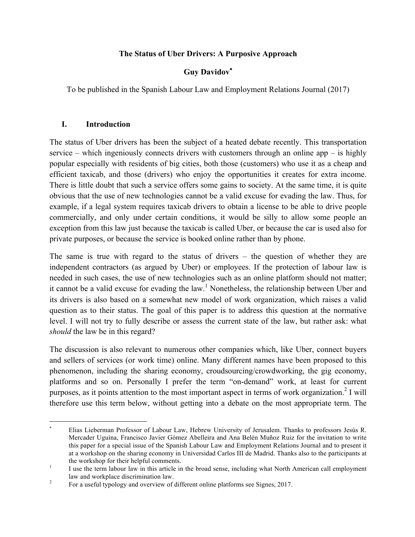## **The Status of Uber Drivers: A Purposive Approach**

# **Guy Davidov**\*

To be published in the Spanish Labour Law and Employment Relations Journal (2017)

## **I. Introduction**

 

The status of Uber drivers has been the subject of a heated debate recently. This transportation service – which ingeniously connects drivers with customers through an online app – is highly popular especially with residents of big cities, both those (customers) who use it as a cheap and efficient taxicab, and those (drivers) who enjoy the opportunities it creates for extra income. There is little doubt that such a service offers some gains to society. At the same time, it is quite obvious that the use of new technologies cannot be a valid excuse for evading the law. Thus, for example, if a legal system requires taxicab drivers to obtain a license to be able to drive people commercially, and only under certain conditions, it would be silly to allow some people an exception from this law just because the taxicab is called Uber, or because the car is used also for private purposes, or because the service is booked online rather than by phone.

The same is true with regard to the status of drivers – the question of whether they are independent contractors (as argued by Uber) or employees. If the protection of labour law is needed in such cases, the use of new technologies such as an online platform should not matter; it cannot be a valid excuse for evading the law.<sup>1</sup> Nonetheless, the relationship between Uber and its drivers is also based on a somewhat new model of work organization, which raises a valid question as to their status. The goal of this paper is to address this question at the normative level. I will not try to fully describe or assess the current state of the law, but rather ask: what *should* the law be in this regard?

The discussion is also relevant to numerous other companies which, like Uber, connect buyers and sellers of services (or work time) online. Many different names have been proposed to this phenomenon, including the sharing economy, croudsourcing/crowdworking, the gig economy, platforms and so on. Personally I prefer the term "on-demand" work, at least for current purposes, as it points attention to the most important aspect in terms of work organization. <sup>2</sup> I will therefore use this term below, without getting into a debate on the most appropriate term. The

<sup>\*</sup> Elias Lieberman Professor of Labour Law, Hebrew University of Jerusalem. Thanks to professors Jesús R. Mercader Uguina, Francisco Javier Gómez Abelleira and Ana Belén Muñoz Ruiz for the invitation to write this paper for a special issue of the Spanish Labour Law and Employment Relations Journal and to present it at a workshop on the sharing economy in Universidad Carlos III de Madrid. Thanks also to the participants at the workshop for their helpful comments.<br>I use the term labour law in this article in the broad sense, including what North American call employment

law and workplace discrimination law.<br><sup>2</sup> For a useful typology and overview of different online platforms see Signes, 2017.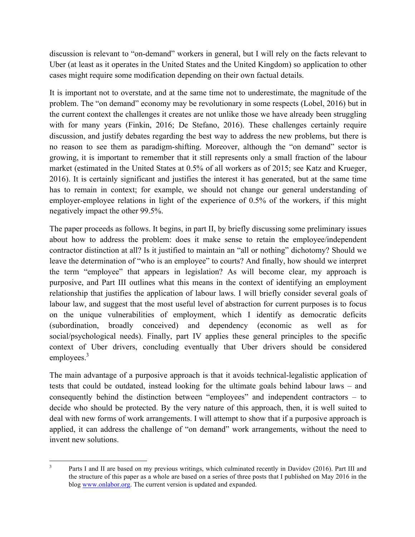discussion is relevant to "on-demand" workers in general, but I will rely on the facts relevant to Uber (at least as it operates in the United States and the United Kingdom) so application to other cases might require some modification depending on their own factual details.

It is important not to overstate, and at the same time not to underestimate, the magnitude of the problem. The "on demand" economy may be revolutionary in some respects (Lobel, 2016) but in the current context the challenges it creates are not unlike those we have already been struggling with for many years (Finkin, 2016; De Stefano, 2016). These challenges certainly require discussion, and justify debates regarding the best way to address the new problems, but there is no reason to see them as paradigm-shifting. Moreover, although the "on demand" sector is growing, it is important to remember that it still represents only a small fraction of the labour market (estimated in the United States at 0.5% of all workers as of 2015; see Katz and Krueger, 2016). It is certainly significant and justifies the interest it has generated, but at the same time has to remain in context; for example, we should not change our general understanding of employer-employee relations in light of the experience of 0.5% of the workers, if this might negatively impact the other 99.5%.

The paper proceeds as follows. It begins, in part II, by briefly discussing some preliminary issues about how to address the problem: does it make sense to retain the employee/independent contractor distinction at all? Is it justified to maintain an "all or nothing" dichotomy? Should we leave the determination of "who is an employee" to courts? And finally, how should we interpret the term "employee" that appears in legislation? As will become clear, my approach is purposive, and Part III outlines what this means in the context of identifying an employment relationship that justifies the application of labour laws. I will briefly consider several goals of labour law, and suggest that the most useful level of abstraction for current purposes is to focus on the unique vulnerabilities of employment, which I identify as democratic deficits (subordination, broadly conceived) and dependency (economic as well as for social/psychological needs). Finally, part IV applies these general principles to the specific context of Uber drivers, concluding eventually that Uber drivers should be considered employees. $3$ 

The main advantage of a purposive approach is that it avoids technical-legalistic application of tests that could be outdated, instead looking for the ultimate goals behind labour laws – and consequently behind the distinction between "employees" and independent contractors – to decide who should be protected. By the very nature of this approach, then, it is well suited to deal with new forms of work arrangements. I will attempt to show that if a purposive approach is applied, it can address the challenge of "on demand" work arrangements, without the need to invent new solutions.

 <sup>3</sup> Parts I and II are based on my previous writings, which culminated recently in Davidov (2016). Part III and the structure of this paper as a whole are based on a series of three posts that I published on May 2016 in the blog www.onlabor.org. The current version is updated and expanded.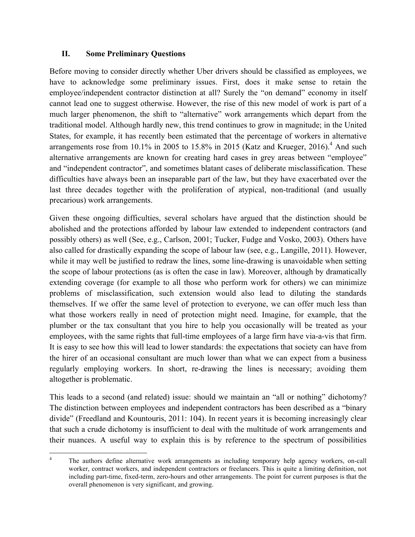## **II. Some Preliminary Questions**

Before moving to consider directly whether Uber drivers should be classified as employees, we have to acknowledge some preliminary issues. First, does it make sense to retain the employee/independent contractor distinction at all? Surely the "on demand" economy in itself cannot lead one to suggest otherwise. However, the rise of this new model of work is part of a much larger phenomenon, the shift to "alternative" work arrangements which depart from the traditional model. Although hardly new, this trend continues to grow in magnitude; in the United States, for example, it has recently been estimated that the percentage of workers in alternative arrangements rose from 10.1% in 2005 to 15.8% in 2015 (Katz and Krueger, 2016).<sup>4</sup> And such alternative arrangements are known for creating hard cases in grey areas between "employee" and "independent contractor", and sometimes blatant cases of deliberate misclassification. These difficulties have always been an inseparable part of the law, but they have exacerbated over the last three decades together with the proliferation of atypical, non-traditional (and usually precarious) work arrangements.

Given these ongoing difficulties, several scholars have argued that the distinction should be abolished and the protections afforded by labour law extended to independent contractors (and possibly others) as well (See, e.g., Carlson, 2001; Tucker, Fudge and Vosko, 2003). Others have also called for drastically expanding the scope of labour law (see, e.g., Langille, 2011). However, while it may well be justified to redraw the lines, some line-drawing is unavoidable when setting the scope of labour protections (as is often the case in law). Moreover, although by dramatically extending coverage (for example to all those who perform work for others) we can minimize problems of misclassification, such extension would also lead to diluting the standards themselves. If we offer the same level of protection to everyone, we can offer much less than what those workers really in need of protection might need. Imagine, for example, that the plumber or the tax consultant that you hire to help you occasionally will be treated as your employees, with the same rights that full-time employees of a large firm have via-a-vis that firm. It is easy to see how this will lead to lower standards: the expectations that society can have from the hirer of an occasional consultant are much lower than what we can expect from a business regularly employing workers. In short, re-drawing the lines is necessary; avoiding them altogether is problematic.

This leads to a second (and related) issue: should we maintain an "all or nothing" dichotomy? The distinction between employees and independent contractors has been described as a "binary divide" (Freedland and Kountouris, 2011: 104). In recent years it is becoming increasingly clear that such a crude dichotomy is insufficient to deal with the multitude of work arrangements and their nuances. A useful way to explain this is by reference to the spectrum of possibilities

 <sup>4</sup> The authors define alternative work arrangements as including temporary help agency workers, on-call worker, contract workers, and independent contractors or freelancers. This is quite a limiting definition, not including part-time, fixed-term, zero-hours and other arrangements. The point for current purposes is that the overall phenomenon is very significant, and growing.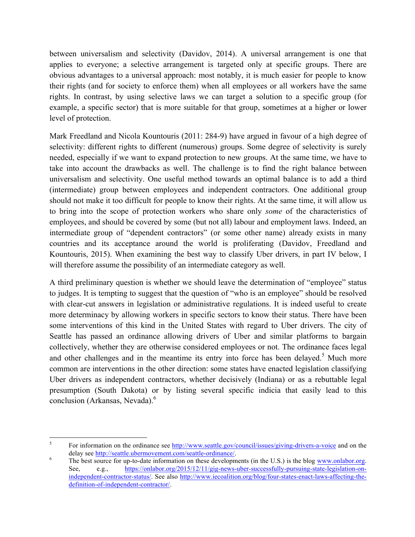between universalism and selectivity (Davidov, 2014). A universal arrangement is one that applies to everyone; a selective arrangement is targeted only at specific groups. There are obvious advantages to a universal approach: most notably, it is much easier for people to know their rights (and for society to enforce them) when all employees or all workers have the same rights. In contrast, by using selective laws we can target a solution to a specific group (for example, a specific sector) that is more suitable for that group, sometimes at a higher or lower level of protection.

Mark Freedland and Nicola Kountouris (2011: 284-9) have argued in favour of a high degree of selectivity: different rights to different (numerous) groups. Some degree of selectivity is surely needed, especially if we want to expand protection to new groups. At the same time, we have to take into account the drawbacks as well. The challenge is to find the right balance between universalism and selectivity. One useful method towards an optimal balance is to add a third (intermediate) group between employees and independent contractors. One additional group should not make it too difficult for people to know their rights. At the same time, it will allow us to bring into the scope of protection workers who share only *some* of the characteristics of employees, and should be covered by some (but not all) labour and employment laws. Indeed, an intermediate group of "dependent contractors" (or some other name) already exists in many countries and its acceptance around the world is proliferating (Davidov, Freedland and Kountouris, 2015). When examining the best way to classify Uber drivers, in part IV below, I will therefore assume the possibility of an intermediate category as well.

A third preliminary question is whether we should leave the determination of "employee" status to judges. It is tempting to suggest that the question of "who is an employee" should be resolved with clear-cut answers in legislation or administrative regulations. It is indeed useful to create more determinacy by allowing workers in specific sectors to know their status. There have been some interventions of this kind in the United States with regard to Uber drivers. The city of Seattle has passed an ordinance allowing drivers of Uber and similar platforms to bargain collectively, whether they are otherwise considered employees or not. The ordinance faces legal and other challenges and in the meantime its entry into force has been delayed.<sup>5</sup> Much more common are interventions in the other direction: some states have enacted legislation classifying Uber drivers as independent contractors, whether decisively (Indiana) or as a rebuttable legal presumption (South Dakota) or by listing several specific indicia that easily lead to this conclusion (Arkansas, Nevada). 6

 <sup>5</sup> For information on the ordinance see http://www.seattle.gov/council/issues/giving-drivers-a-voice and on the delay see <u>http://seattle.ubermovement.com/seattle-ordinance/</u>.<br><sup>6</sup> The best source for up-to-date information on these developments (in the U.S.) is the blog www.onlabor.org.

See, e.g., https://onlabor.org/2015/12/11/gig-news-uber-successfully-pursuing-state-legislation-onindependent-contractor-status/. See also http://www.iecoalition.org/blog/four-states-enact-laws-affecting-thedefinition-of-independent-contractor/.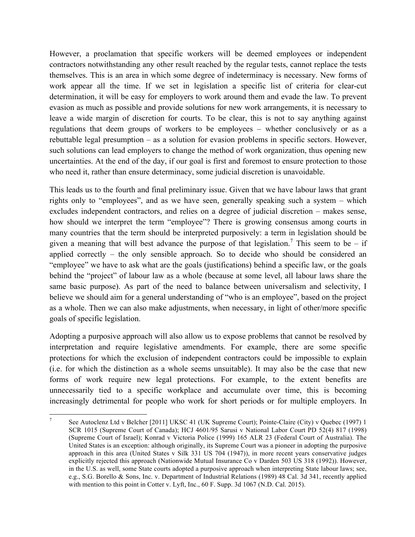However, a proclamation that specific workers will be deemed employees or independent contractors notwithstanding any other result reached by the regular tests, cannot replace the tests themselves. This is an area in which some degree of indeterminacy is necessary. New forms of work appear all the time. If we set in legislation a specific list of criteria for clear-cut determination, it will be easy for employers to work around them and evade the law. To prevent evasion as much as possible and provide solutions for new work arrangements, it is necessary to leave a wide margin of discretion for courts. To be clear, this is not to say anything against regulations that deem groups of workers to be employees – whether conclusively or as a rebuttable legal presumption – as a solution for evasion problems in specific sectors. However, such solutions can lead employers to change the method of work organization, thus opening new uncertainties. At the end of the day, if our goal is first and foremost to ensure protection to those who need it, rather than ensure determinacy, some judicial discretion is unavoidable.

This leads us to the fourth and final preliminary issue. Given that we have labour laws that grant rights only to "employees", and as we have seen, generally speaking such a system – which excludes independent contractors, and relies on a degree of judicial discretion – makes sense, how should we interpret the term "employee"? There is growing consensus among courts in many countries that the term should be interpreted purposively: a term in legislation should be given a meaning that will best advance the purpose of that legislation.<sup>7</sup> This seem to be – if applied correctly – the only sensible approach. So to decide who should be considered an "employee" we have to ask what are the goals (justifications) behind a specific law, or the goals behind the "project" of labour law as a whole (because at some level, all labour laws share the same basic purpose). As part of the need to balance between universalism and selectivity, I believe we should aim for a general understanding of "who is an employee", based on the project as a whole. Then we can also make adjustments, when necessary, in light of other/more specific goals of specific legislation.

Adopting a purposive approach will also allow us to expose problems that cannot be resolved by interpretation and require legislative amendments. For example, there are some specific protections for which the exclusion of independent contractors could be impossible to explain (i.e. for which the distinction as a whole seems unsuitable). It may also be the case that new forms of work require new legal protections. For example, to the extent benefits are unnecessarily tied to a specific workplace and accumulate over time, this is becoming increasingly detrimental for people who work for short periods or for multiple employers. In

 <sup>7</sup> See Autoclenz Ltd v Belcher [2011] UKSC 41 (UK Supreme Court); Pointe-Claire (City) v Quebec (1997) 1 SCR 1015 (Supreme Court of Canada); HCJ 4601/95 Sarusi v National Labor Court PD 52(4) 817 (1998) (Supreme Court of Israel); Konrad v Victoria Police (1999) 165 ALR 23 (Federal Court of Australia). The United States is an exception: although originally, its Supreme Court was a pioneer in adopting the purposive approach in this area (United States v Silk 331 US 704 (1947)), in more recent years conservative judges explicitly rejected this approach (Nationwide Mutual Insurance Co v Darden 503 US 318 (1992)). However, in the U.S. as well, some State courts adopted a purposive approach when interpreting State labour laws; see, e.g., S.G. Borello & Sons, Inc. v. Department of Industrial Relations (1989) 48 Cal. 3d 341, recently applied with mention to this point in Cotter v. Lyft, Inc., 60 F. Supp. 3d 1067 (N.D. Cal. 2015).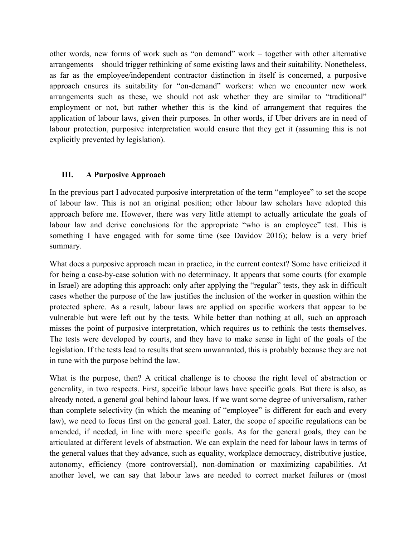other words, new forms of work such as "on demand" work – together with other alternative arrangements – should trigger rethinking of some existing laws and their suitability. Nonetheless, as far as the employee/independent contractor distinction in itself is concerned, a purposive approach ensures its suitability for "on-demand" workers: when we encounter new work arrangements such as these, we should not ask whether they are similar to "traditional" employment or not, but rather whether this is the kind of arrangement that requires the application of labour laws, given their purposes. In other words, if Uber drivers are in need of labour protection, purposive interpretation would ensure that they get it (assuming this is not explicitly prevented by legislation).

## **III. A Purposive Approach**

In the previous part I advocated purposive interpretation of the term "employee" to set the scope of labour law. This is not an original position; other labour law scholars have adopted this approach before me. However, there was very little attempt to actually articulate the goals of labour law and derive conclusions for the appropriate "who is an employee" test. This is something I have engaged with for some time (see Davidov 2016); below is a very brief summary.

What does a purposive approach mean in practice, in the current context? Some have criticized it for being a case-by-case solution with no determinacy. It appears that some courts (for example in Israel) are adopting this approach: only after applying the "regular" tests, they ask in difficult cases whether the purpose of the law justifies the inclusion of the worker in question within the protected sphere. As a result, labour laws are applied on specific workers that appear to be vulnerable but were left out by the tests. While better than nothing at all, such an approach misses the point of purposive interpretation, which requires us to rethink the tests themselves. The tests were developed by courts, and they have to make sense in light of the goals of the legislation. If the tests lead to results that seem unwarranted, this is probably because they are not in tune with the purpose behind the law.

What is the purpose, then? A critical challenge is to choose the right level of abstraction or generality, in two respects. First, specific labour laws have specific goals. But there is also, as already noted, a general goal behind labour laws. If we want some degree of universalism, rather than complete selectivity (in which the meaning of "employee" is different for each and every law), we need to focus first on the general goal. Later, the scope of specific regulations can be amended, if needed, in line with more specific goals. As for the general goals, they can be articulated at different levels of abstraction. We can explain the need for labour laws in terms of the general values that they advance, such as equality, workplace democracy, distributive justice, autonomy, efficiency (more controversial), non-domination or maximizing capabilities. At another level, we can say that labour laws are needed to correct market failures or (most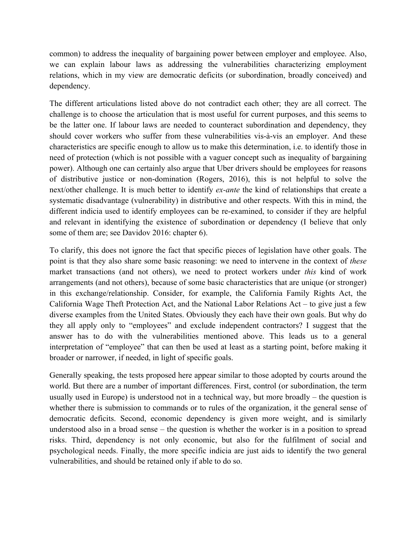common) to address the inequality of bargaining power between employer and employee. Also, we can explain labour laws as addressing the vulnerabilities characterizing employment relations, which in my view are democratic deficits (or subordination, broadly conceived) and dependency.

The different articulations listed above do not contradict each other; they are all correct. The challenge is to choose the articulation that is most useful for current purposes, and this seems to be the latter one. If labour laws are needed to counteract subordination and dependency, they should cover workers who suffer from these vulnerabilities vis-à-vis an employer. And these characteristics are specific enough to allow us to make this determination, i.e. to identify those in need of protection (which is not possible with a vaguer concept such as inequality of bargaining power). Although one can certainly also argue that Uber drivers should be employees for reasons of distributive justice or non-domination (Rogers, 2016), this is not helpful to solve the next/other challenge. It is much better to identify *ex-ante* the kind of relationships that create a systematic disadvantage (vulnerability) in distributive and other respects. With this in mind, the different indicia used to identify employees can be re-examined, to consider if they are helpful and relevant in identifying the existence of subordination or dependency (I believe that only some of them are; see Davidov 2016: chapter 6).

To clarify, this does not ignore the fact that specific pieces of legislation have other goals. The point is that they also share some basic reasoning: we need to intervene in the context of *these* market transactions (and not others), we need to protect workers under *this* kind of work arrangements (and not others), because of some basic characteristics that are unique (or stronger) in this exchange/relationship. Consider, for example, the California Family Rights Act, the California Wage Theft Protection Act, and the National Labor Relations Act – to give just a few diverse examples from the United States. Obviously they each have their own goals. But why do they all apply only to "employees" and exclude independent contractors? I suggest that the answer has to do with the vulnerabilities mentioned above. This leads us to a general interpretation of "employee" that can then be used at least as a starting point, before making it broader or narrower, if needed, in light of specific goals.

Generally speaking, the tests proposed here appear similar to those adopted by courts around the world. But there are a number of important differences. First, control (or subordination, the term usually used in Europe) is understood not in a technical way, but more broadly – the question is whether there is submission to commands or to rules of the organization, it the general sense of democratic deficits. Second, economic dependency is given more weight, and is similarly understood also in a broad sense – the question is whether the worker is in a position to spread risks. Third, dependency is not only economic, but also for the fulfilment of social and psychological needs. Finally, the more specific indicia are just aids to identify the two general vulnerabilities, and should be retained only if able to do so.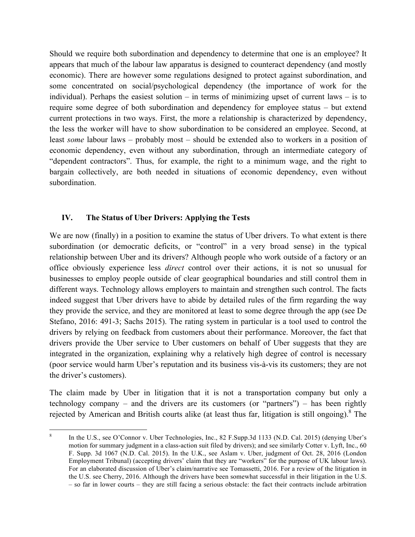Should we require both subordination and dependency to determine that one is an employee? It appears that much of the labour law apparatus is designed to counteract dependency (and mostly economic). There are however some regulations designed to protect against subordination, and some concentrated on social/psychological dependency (the importance of work for the individual). Perhaps the easiest solution – in terms of minimizing upset of current laws – is to require some degree of both subordination and dependency for employee status – but extend current protections in two ways. First, the more a relationship is characterized by dependency, the less the worker will have to show subordination to be considered an employee. Second, at least *some* labour laws – probably most – should be extended also to workers in a position of economic dependency, even without any subordination, through an intermediate category of "dependent contractors". Thus, for example, the right to a minimum wage, and the right to bargain collectively, are both needed in situations of economic dependency, even without subordination.

# **IV. The Status of Uber Drivers: Applying the Tests**

We are now (finally) in a position to examine the status of Uber drivers. To what extent is there subordination (or democratic deficits, or "control" in a very broad sense) in the typical relationship between Uber and its drivers? Although people who work outside of a factory or an office obviously experience less *direct* control over their actions, it is not so unusual for businesses to employ people outside of clear geographical boundaries and still control them in different ways. Technology allows employers to maintain and strengthen such control. The facts indeed suggest that Uber drivers have to abide by detailed rules of the firm regarding the way they provide the service, and they are monitored at least to some degree through the app (see De Stefano, 2016: 491-3; Sachs 2015). The rating system in particular is a tool used to control the drivers by relying on feedback from customers about their performance. Moreover, the fact that drivers provide the Uber service to Uber customers on behalf of Uber suggests that they are integrated in the organization, explaining why a relatively high degree of control is necessary (poor service would harm Uber's reputation and its business vis-à-vis its customers; they are not the driver's customers).

The claim made by Uber in litigation that it is not a transportation company but only a technology company – and the drivers are its customers (or "partners") – has been rightly rejected by American and British courts alike (at least thus far, litigation is still ongoing). <sup>8</sup> The

 <sup>8</sup> In the U.S., see O'Connor v. Uber Technologies, Inc., 82 F.Supp.3d 1133 (N.D. Cal. 2015) (denying Uber's motion for summary judgment in a class-action suit filed by drivers); and see similarly Cotter v. Lyft, Inc., 60 F. Supp. 3d 1067 (N.D. Cal. 2015). In the U.K., see Aslam v. Uber, judgment of Oct. 28, 2016 (London Employment Tribunal) (accepting drivers' claim that they are "workers" for the purpose of UK labour laws). For an elaborated discussion of Uber's claim/narrative see Tomassetti, 2016. For a review of the litigation in the U.S. see Cherry, 2016. Although the drivers have been somewhat successful in their litigation in the U.S. – so far in lower courts – they are still facing a serious obstacle: the fact their contracts include arbitration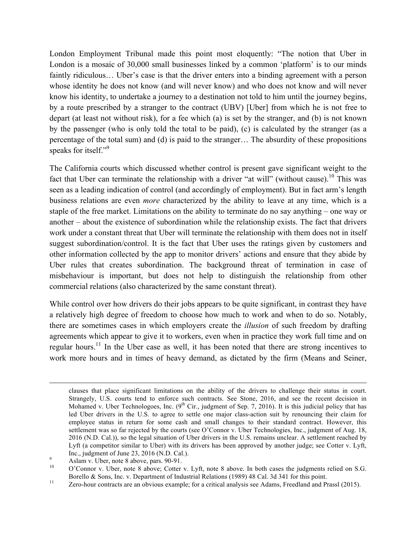London Employment Tribunal made this point most eloquently: "The notion that Uber in London is a mosaic of 30,000 small businesses linked by a common 'platform' is to our minds faintly ridiculous... Uber's case is that the driver enters into a binding agreement with a person whose identity he does not know (and will never know) and who does not know and will never know his identity, to undertake a journey to a destination not told to him until the journey begins, by a route prescribed by a stranger to the contract (UBV) [Uber] from which he is not free to depart (at least not without risk), for a fee which (a) is set by the stranger, and (b) is not known by the passenger (who is only told the total to be paid), (c) is calculated by the stranger (as a percentage of the total sum) and (d) is paid to the stranger… The absurdity of these propositions speaks for itself."<sup>9</sup>

The California courts which discussed whether control is present gave significant weight to the fact that Uber can terminate the relationship with a driver "at will" (without cause).<sup>10</sup> This was seen as a leading indication of control (and accordingly of employment). But in fact arm's length business relations are even *more* characterized by the ability to leave at any time, which is a staple of the free market. Limitations on the ability to terminate do no say anything – one way or another – about the existence of subordination while the relationship exists. The fact that drivers work under a constant threat that Uber will terminate the relationship with them does not in itself suggest subordination/control. It is the fact that Uber uses the ratings given by customers and other information collected by the app to monitor drivers' actions and ensure that they abide by Uber rules that creates subordination. The background threat of termination in case of misbehaviour is important, but does not help to distinguish the relationship from other commercial relations (also characterized by the same constant threat).

While control over how drivers do their jobs appears to be quite significant, in contrast they have a relatively high degree of freedom to choose how much to work and when to do so. Notably, there are sometimes cases in which employers create the *illusion* of such freedom by drafting agreements which appear to give it to workers, even when in practice they work full time and on regular hours.<sup>11</sup> In the Uber case as well, it has been noted that there are strong incentives to work more hours and in times of heavy demand, as dictated by the firm (Means and Seiner,

<u> 1989 - Johann Stoff, amerikansk politiker (d. 1989)</u>

clauses that place significant limitations on the ability of the drivers to challenge their status in court. Strangely, U.S. courts tend to enforce such contracts. See Stone, 2016, and see the recent decision in Mohamed v. Uber Technologoes, Inc.  $(9<sup>th</sup> Cir.,$  judgment of Sep. 7, 2016). It is this judicial policy that has led Uber drivers in the U.S. to agree to settle one major class-action suit by renouncing their claim for employee status in return for some cash and small changes to their standard contract. However, this settlement was so far rejected by the courts (see O'Connor v. Uber Technologies, Inc., judgment of Aug. 18, 2016 (N.D. Cal.)), so the legal situation of Uber drivers in the U.S. remains unclear. A settlement reached by Lyft (a competitor similar to Uber) with its drivers has been approved by another judge; see Cotter v. Lyft, Inc., judgment of June 23, 2016 (N.D. Cal.).<br>
9 Aslam v. Uber, note 8 above, pars. 90-91.<br>
<sup>10</sup> O'Connor v. Uber, note 8 above; Cotter v. Lyft, note 8 above. In both cases the judgments relied on S.G.

Borello & Sons, Inc. v. Department of Industrial Relations (1989) 48 Cal. 3d 341 for this point.<br>
<sup>11</sup> Zero-hour contracts are an obvious example; for a critical analysis see Adams, Freedland and Prassl (2015).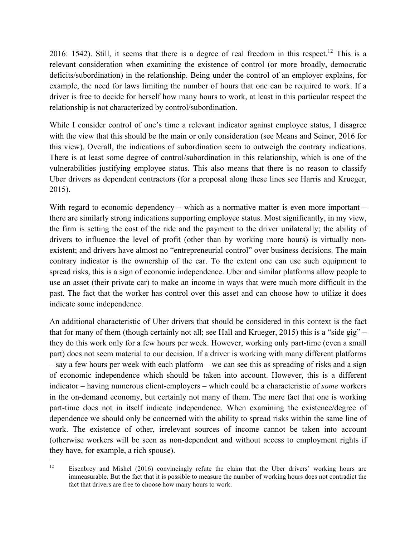2016: 1542). Still, it seems that there is a degree of real freedom in this respect.<sup>12</sup> This is a relevant consideration when examining the existence of control (or more broadly, democratic deficits/subordination) in the relationship. Being under the control of an employer explains, for example, the need for laws limiting the number of hours that one can be required to work. If a driver is free to decide for herself how many hours to work, at least in this particular respect the relationship is not characterized by control/subordination.

While I consider control of one's time a relevant indicator against employee status, I disagree with the view that this should be the main or only consideration (see Means and Seiner, 2016 for this view). Overall, the indications of subordination seem to outweigh the contrary indications. There is at least some degree of control/subordination in this relationship, which is one of the vulnerabilities justifying employee status. This also means that there is no reason to classify Uber drivers as dependent contractors (for a proposal along these lines see Harris and Krueger, 2015).

With regard to economic dependency – which as a normative matter is even more important – there are similarly strong indications supporting employee status. Most significantly, in my view, the firm is setting the cost of the ride and the payment to the driver unilaterally; the ability of drivers to influence the level of profit (other than by working more hours) is virtually nonexistent; and drivers have almost no "entrepreneurial control" over business decisions. The main contrary indicator is the ownership of the car. To the extent one can use such equipment to spread risks, this is a sign of economic independence. Uber and similar platforms allow people to use an asset (their private car) to make an income in ways that were much more difficult in the past. The fact that the worker has control over this asset and can choose how to utilize it does indicate some independence.

An additional characteristic of Uber drivers that should be considered in this context is the fact that for many of them (though certainly not all; see Hall and Krueger, 2015) this is a "side gig" – they do this work only for a few hours per week. However, working only part-time (even a small part) does not seem material to our decision. If a driver is working with many different platforms – say a few hours per week with each platform – we can see this as spreading of risks and a sign of economic independence which should be taken into account. However, this is a different indicator – having numerous client-employers – which could be a characteristic of *some* workers in the on-demand economy, but certainly not many of them. The mere fact that one is working part-time does not in itself indicate independence. When examining the existence/degree of dependence we should only be concerned with the ability to spread risks within the same line of work. The existence of other, irrelevant sources of income cannot be taken into account (otherwise workers will be seen as non-dependent and without access to employment rights if they have, for example, a rich spouse).

 

<sup>&</sup>lt;sup>12</sup> Eisenbrey and Mishel (2016) convincingly refute the claim that the Uber drivers' working hours are immeasurable. But the fact that it is possible to measure the number of working hours does not contradict the fact that drivers are free to choose how many hours to work.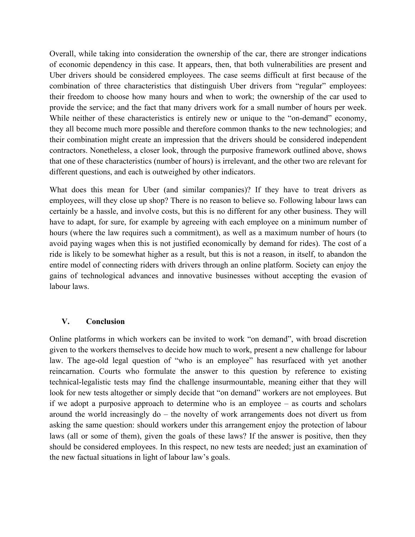Overall, while taking into consideration the ownership of the car, there are stronger indications of economic dependency in this case. It appears, then, that both vulnerabilities are present and Uber drivers should be considered employees. The case seems difficult at first because of the combination of three characteristics that distinguish Uber drivers from "regular" employees: their freedom to choose how many hours and when to work; the ownership of the car used to provide the service; and the fact that many drivers work for a small number of hours per week. While neither of these characteristics is entirely new or unique to the "on-demand" economy, they all become much more possible and therefore common thanks to the new technologies; and their combination might create an impression that the drivers should be considered independent contractors. Nonetheless, a closer look, through the purposive framework outlined above, shows that one of these characteristics (number of hours) is irrelevant, and the other two are relevant for different questions, and each is outweighed by other indicators.

What does this mean for Uber (and similar companies)? If they have to treat drivers as employees, will they close up shop? There is no reason to believe so. Following labour laws can certainly be a hassle, and involve costs, but this is no different for any other business. They will have to adapt, for sure, for example by agreeing with each employee on a minimum number of hours (where the law requires such a commitment), as well as a maximum number of hours (to avoid paying wages when this is not justified economically by demand for rides). The cost of a ride is likely to be somewhat higher as a result, but this is not a reason, in itself, to abandon the entire model of connecting riders with drivers through an online platform. Society can enjoy the gains of technological advances and innovative businesses without accepting the evasion of labour laws.

#### **V. Conclusion**

Online platforms in which workers can be invited to work "on demand", with broad discretion given to the workers themselves to decide how much to work, present a new challenge for labour law. The age-old legal question of "who is an employee" has resurfaced with yet another reincarnation. Courts who formulate the answer to this question by reference to existing technical-legalistic tests may find the challenge insurmountable, meaning either that they will look for new tests altogether or simply decide that "on demand" workers are not employees. But if we adopt a purposive approach to determine who is an employee – as courts and scholars around the world increasingly do – the novelty of work arrangements does not divert us from asking the same question: should workers under this arrangement enjoy the protection of labour laws (all or some of them), given the goals of these laws? If the answer is positive, then they should be considered employees. In this respect, no new tests are needed; just an examination of the new factual situations in light of labour law's goals.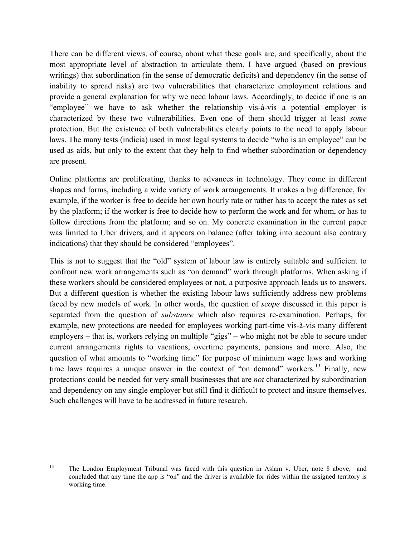There can be different views, of course, about what these goals are, and specifically, about the most appropriate level of abstraction to articulate them. I have argued (based on previous writings) that subordination (in the sense of democratic deficits) and dependency (in the sense of inability to spread risks) are two vulnerabilities that characterize employment relations and provide a general explanation for why we need labour laws. Accordingly, to decide if one is an "employee" we have to ask whether the relationship vis-à-vis a potential employer is characterized by these two vulnerabilities. Even one of them should trigger at least *some* protection. But the existence of both vulnerabilities clearly points to the need to apply labour laws. The many tests (indicia) used in most legal systems to decide "who is an employee" can be used as aids, but only to the extent that they help to find whether subordination or dependency are present.

Online platforms are proliferating, thanks to advances in technology. They come in different shapes and forms, including a wide variety of work arrangements. It makes a big difference, for example, if the worker is free to decide her own hourly rate or rather has to accept the rates as set by the platform; if the worker is free to decide how to perform the work and for whom, or has to follow directions from the platform; and so on. My concrete examination in the current paper was limited to Uber drivers, and it appears on balance (after taking into account also contrary indications) that they should be considered "employees".

This is not to suggest that the "old" system of labour law is entirely suitable and sufficient to confront new work arrangements such as "on demand" work through platforms. When asking if these workers should be considered employees or not, a purposive approach leads us to answers. But a different question is whether the existing labour laws sufficiently address new problems faced by new models of work. In other words, the question of *scope* discussed in this paper is separated from the question of *substance* which also requires re-examination. Perhaps, for example, new protections are needed for employees working part-time vis-à-vis many different employers – that is, workers relying on multiple "gigs" – who might not be able to secure under current arrangements rights to vacations, overtime payments, pensions and more. Also, the question of what amounts to "working time" for purpose of minimum wage laws and working time laws requires a unique answer in the context of "on demand" workers.<sup>13</sup> Finally, new protections could be needed for very small businesses that are *not* characterized by subordination and dependency on any single employer but still find it difficult to protect and insure themselves. Such challenges will have to be addressed in future research.

 <sup>13</sup> The London Employment Tribunal was faced with this question in Aslam v. Uber, note 8 above, and concluded that any time the app is "on" and the driver is available for rides within the assigned territory is working time.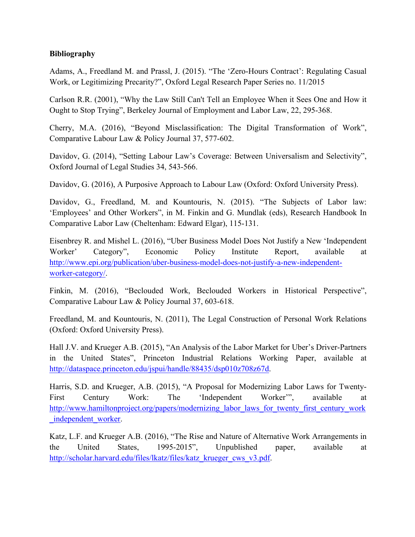## **Bibliography**

Adams, A., Freedland M. and Prassl, J. (2015). "The 'Zero-Hours Contract': Regulating Casual Work, or Legitimizing Precarity?", Oxford Legal Research Paper Series no. 11/2015

Carlson R.R. (2001), "Why the Law Still Can't Tell an Employee When it Sees One and How it Ought to Stop Trying", Berkeley Journal of Employment and Labor Law, 22, 295-368.

Cherry, M.A. (2016), "Beyond Misclassification: The Digital Transformation of Work", Comparative Labour Law & Policy Journal 37, 577-602.

Davidov, G. (2014), "Setting Labour Law's Coverage: Between Universalism and Selectivity", Oxford Journal of Legal Studies 34, 543-566.

Davidov, G. (2016), A Purposive Approach to Labour Law (Oxford: Oxford University Press).

Davidov, G., Freedland, M. and Kountouris, N. (2015). "The Subjects of Labor law: 'Employees' and Other Workers", in M. Finkin and G. Mundlak (eds), Research Handbook In Comparative Labor Law (Cheltenham: Edward Elgar), 115-131.

Eisenbrey R. and Mishel L. (2016), "Uber Business Model Does Not Justify a New 'Independent Worker' Category", Economic Policy Institute Report, available at http://www.epi.org/publication/uber-business-model-does-not-justify-a-new-independentworker-category/.

Finkin, M. (2016), "Beclouded Work, Beclouded Workers in Historical Perspective", Comparative Labour Law & Policy Journal 37, 603-618.

Freedland, M. and Kountouris, N. (2011), The Legal Construction of Personal Work Relations (Oxford: Oxford University Press).

Hall J.V. and Krueger A.B. (2015), "An Analysis of the Labor Market for Uber's Driver-Partners in the United States", Princeton Industrial Relations Working Paper, available at http://dataspace.princeton.edu/jspui/handle/88435/dsp010z708z67d.

Harris, S.D. and Krueger, A.B. (2015), "A Proposal for Modernizing Labor Laws for Twenty-First Century Work: The 'Independent Worker'", available at http://www.hamiltonproject.org/papers/modernizing\_labor\_laws\_for\_twenty\_first\_century\_work \_independent\_worker.

Katz, L.F. and Krueger A.B. (2016), "The Rise and Nature of Alternative Work Arrangements in the United States, 1995-2015", Unpublished paper, available at http://scholar.harvard.edu/files/lkatz/files/katz\_krueger\_cws\_v3.pdf.